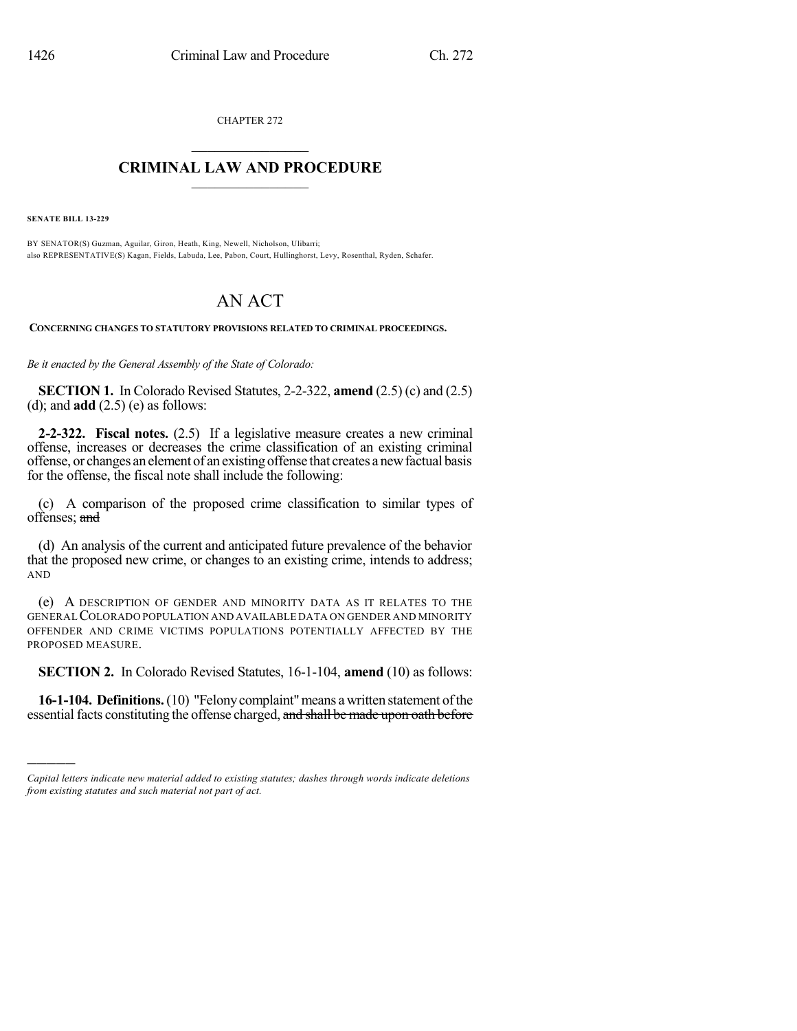CHAPTER 272  $\overline{\phantom{a}}$  . The set of the set of the set of the set of the set of the set of the set of the set of the set of the set of the set of the set of the set of the set of the set of the set of the set of the set of the set o

## **CRIMINAL LAW AND PROCEDURE**  $\frac{1}{2}$  ,  $\frac{1}{2}$  ,  $\frac{1}{2}$  ,  $\frac{1}{2}$  ,  $\frac{1}{2}$  ,  $\frac{1}{2}$  ,  $\frac{1}{2}$

**SENATE BILL 13-229**

)))))

BY SENATOR(S) Guzman, Aguilar, Giron, Heath, King, Newell, Nicholson, Ulibarri; also REPRESENTATIVE(S) Kagan, Fields, Labuda, Lee, Pabon, Court, Hullinghorst, Levy, Rosenthal, Ryden, Schafer.

## AN ACT

**CONCERNING CHANGES TO STATUTORY PROVISIONS RELATED TO CRIMINAL PROCEEDINGS.**

*Be it enacted by the General Assembly of the State of Colorado:*

**SECTION 1.** In Colorado Revised Statutes, 2-2-322, **amend** (2.5) (c) and (2.5) (d); and **add** (2.5) (e) as follows:

**2-2-322. Fiscal notes.** (2.5) If a legislative measure creates a new criminal offense, increases or decreases the crime classification of an existing criminal offense, or changes an element of an existingoffense that creates a newfactual basis for the offense, the fiscal note shall include the following:

(c) A comparison of the proposed crime classification to similar types of offenses; and

(d) An analysis of the current and anticipated future prevalence of the behavior that the proposed new crime, or changes to an existing crime, intends to address; AND

(e) A DESCRIPTION OF GENDER AND MINORITY DATA AS IT RELATES TO THE GENERALCOLORADO POPULATION AND AVAILABLE DATA ON GENDER AND MINORITY OFFENDER AND CRIME VICTIMS POPULATIONS POTENTIALLY AFFECTED BY THE PROPOSED MEASURE.

**SECTION 2.** In Colorado Revised Statutes, 16-1-104, **amend** (10) as follows:

**16-1-104. Definitions.** (10) "Felony complaint" means a written statement of the essential facts constituting the offense charged, and shall be made upon oath before

*Capital letters indicate new material added to existing statutes; dashes through words indicate deletions from existing statutes and such material not part of act.*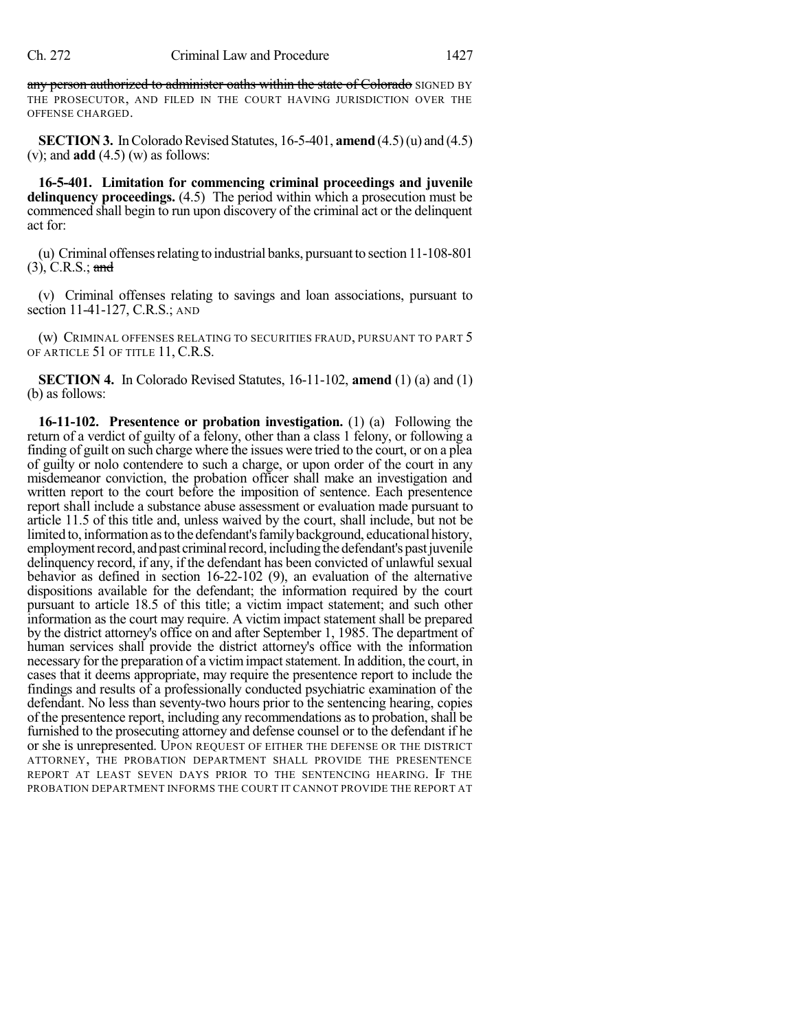any person authorized to administer oaths within the state of Colorado SIGNED BY THE PROSECUTOR, AND FILED IN THE COURT HAVING JURISDICTION OVER THE OFFENSE CHARGED.

**SECTION 3.** In Colorado Revised Statutes,  $16-5-401$ , **amend**  $(4.5)(u)$  and  $(4.5)$ (v); and **add** (4.5) (w) as follows:

**16-5-401. Limitation for commencing criminal proceedings and juvenile delinquency proceedings.** (4.5) The period within which a prosecution must be commenced shall begin to run upon discovery of the criminal act or the delinquent act for:

(u) Criminal offenses relating to industrial banks, pursuant to section  $11\n-108\n-801$  $(3)$ , C.R.S.; and

(v) Criminal offenses relating to savings and loan associations, pursuant to section 11-41-127, C.R.S.; AND

(w) CRIMINAL OFFENSES RELATING TO SECURITIES FRAUD, PURSUANT TO PART 5 OF ARTICLE 51 OF TITLE 11, C.R.S.

**SECTION 4.** In Colorado Revised Statutes, 16-11-102, **amend** (1) (a) and (1) (b) as follows:

**16-11-102. Presentence or probation investigation.** (1) (a) Following the return of a verdict of guilty of a felony, other than a class 1 felony, or following a finding of guilt on such charge where the issues were tried to the court, or on a plea of guilty or nolo contendere to such a charge, or upon order of the court in any misdemeanor conviction, the probation officer shall make an investigation and written report to the court before the imposition of sentence. Each presentence report shall include a substance abuse assessment or evaluation made pursuant to article 11.5 of this title and, unless waived by the court, shall include, but not be limited to, information as to the defendant's family background, educational history, employment record, and past criminal record, including the defendant's past juvenile delinquency record, if any, if the defendant has been convicted of unlawful sexual behavior as defined in section 16-22-102 (9), an evaluation of the alternative dispositions available for the defendant; the information required by the court pursuant to article 18.5 of this title; a victim impact statement; and such other information as the court may require. A victim impact statement shall be prepared by the district attorney's office on and after September 1, 1985. The department of human services shall provide the district attorney's office with the information necessary for the preparation of a victim impact statement. In addition, the court, in cases that it deems appropriate, may require the presentence report to include the findings and results of a professionally conducted psychiatric examination of the defendant. No less than seventy-two hours prior to the sentencing hearing, copies of the presentence report, including any recommendations asto probation, shall be furnished to the prosecuting attorney and defense counsel or to the defendant if he or she is unrepresented. UPON REQUEST OF EITHER THE DEFENSE OR THE DISTRICT ATTORNEY, THE PROBATION DEPARTMENT SHALL PROVIDE THE PRESENTENCE REPORT AT LEAST SEVEN DAYS PRIOR TO THE SENTENCING HEARING. IF THE PROBATION DEPARTMENT INFORMS THE COURT IT CANNOT PROVIDE THE REPORT AT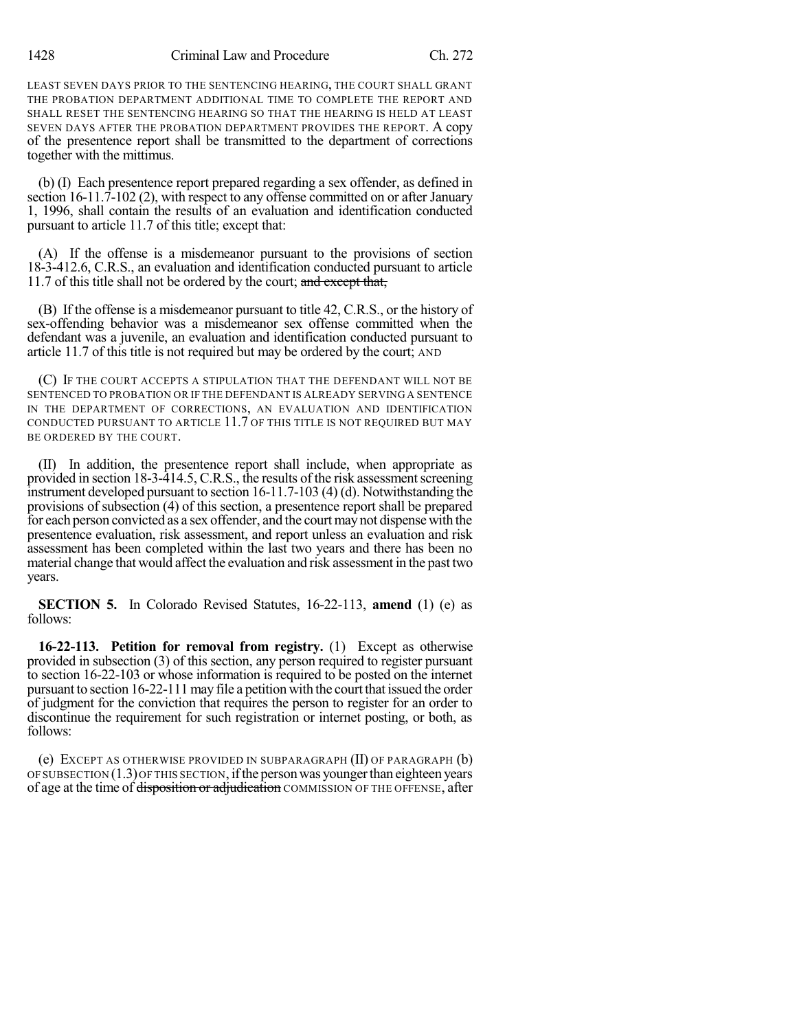1428 Criminal Law and Procedure Ch. 272

LEAST SEVEN DAYS PRIOR TO THE SENTENCING HEARING, THE COURT SHALL GRANT THE PROBATION DEPARTMENT ADDITIONAL TIME TO COMPLETE THE REPORT AND SHALL RESET THE SENTENCING HEARING SO THAT THE HEARING IS HELD AT LEAST SEVEN DAYS AFTER THE PROBATION DEPARTMENT PROVIDES THE REPORT. A copy of the presentence report shall be transmitted to the department of corrections together with the mittimus.

(b) (I) Each presentence report prepared regarding a sex offender, as defined in section 16-11.7-102 (2), with respect to any offense committed on or after January 1, 1996, shall contain the results of an evaluation and identification conducted pursuant to article 11.7 of this title; except that:

(A) If the offense is a misdemeanor pursuant to the provisions of section 18-3-412.6, C.R.S., an evaluation and identification conducted pursuant to article 11.7 of this title shall not be ordered by the court; and except that,

(B) If the offense is a misdemeanor pursuant to title 42, C.R.S., or the history of sex-offending behavior was a misdemeanor sex offense committed when the defendant was a juvenile, an evaluation and identification conducted pursuant to article 11.7 of this title is not required but may be ordered by the court; AND

(C) IF THE COURT ACCEPTS A STIPULATION THAT THE DEFENDANT WILL NOT BE SENTENCED TO PROBATION OR IF THE DEFENDANT IS ALREADY SERVING A SENTENCE IN THE DEPARTMENT OF CORRECTIONS, AN EVALUATION AND IDENTIFICATION CONDUCTED PURSUANT TO ARTICLE 11.7 OF THIS TITLE IS NOT REQUIRED BUT MAY BE ORDERED BY THE COURT.

(II) In addition, the presentence report shall include, when appropriate as provided in section 18-3-414.5, C.R.S., the results of the risk assessment screening instrument developed pursuant to section 16-11.7-103 (4) (d). Notwithstanding the provisions of subsection (4) of this section, a presentence report shall be prepared for each person convicted as a sex offender, and the court may not dispense with the presentence evaluation, risk assessment, and report unless an evaluation and risk assessment has been completed within the last two years and there has been no material change that would affect the evaluation and risk assessment in the past two years.

**SECTION 5.** In Colorado Revised Statutes, 16-22-113, **amend** (1) (e) as follows:

**16-22-113. Petition for removal from registry.** (1) Except as otherwise provided in subsection (3) of this section, any person required to register pursuant to section 16-22-103 or whose information is required to be posted on the internet pursuant to section 16-22-111 may file a petition with the court that issued the order of judgment for the conviction that requires the person to register for an order to discontinue the requirement for such registration or internet posting, or both, as follows:

(e) EXCEPT AS OTHERWISE PROVIDED IN SUBPARAGRAPH (II) OF PARAGRAPH (b) OF SUBSECTION (1.3)OF THIS SECTION, ifthe personwas youngerthan eighteen years of age at the time of disposition or adjudication COMMISSION OF THE OFFENSE, after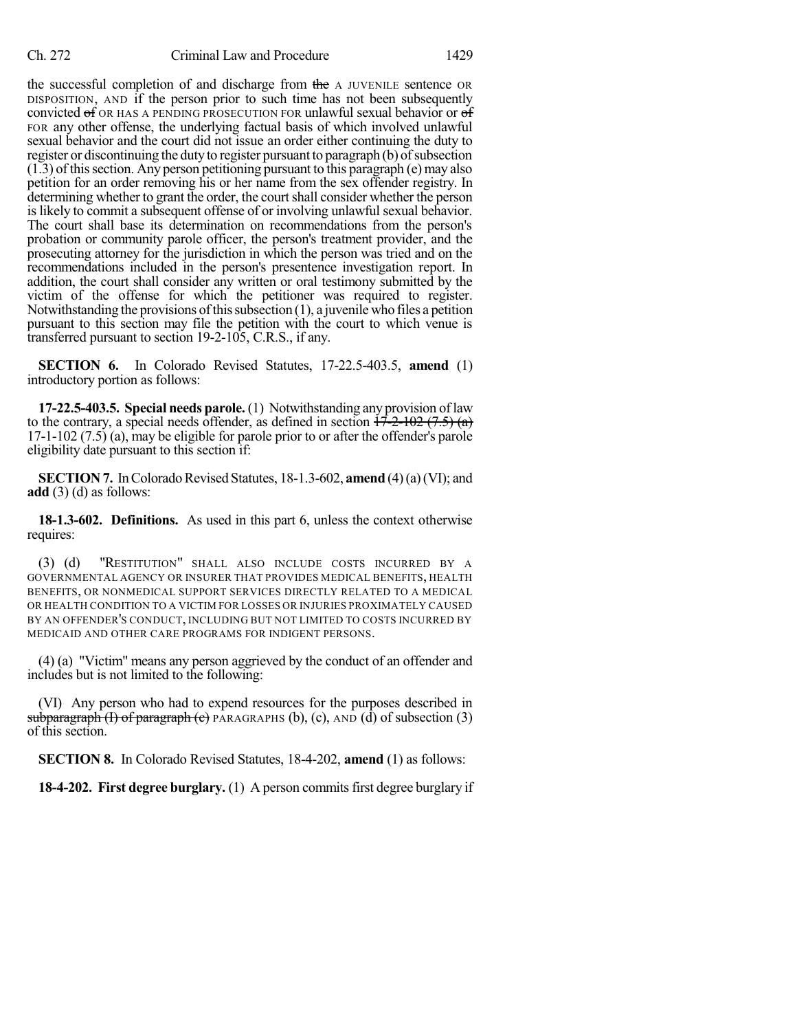the successful completion of and discharge from the A JUVENILE sentence OR DISPOSITION, AND if the person prior to such time has not been subsequently convicted of OR HAS A PENDING PROSECUTION FOR unlawful sexual behavior or of FOR any other offense, the underlying factual basis of which involved unlawful sexual behavior and the court did not issue an order either continuing the duty to register or discontinuing the duty to register pursuant to paragraph (b) of subsection  $(1.3)$  of this section. Any person petitioning pursuant to this paragraph  $(e)$  may also petition for an order removing his or her name from the sex offender registry. In determining whether to grant the order, the court shall consider whether the person is likely to commit a subsequent offense of or involving unlawful sexual behavior. The court shall base its determination on recommendations from the person's probation or community parole officer, the person's treatment provider, and the prosecuting attorney for the jurisdiction in which the person was tried and on the recommendations included in the person's presentence investigation report. In addition, the court shall consider any written or oral testimony submitted by the victim of the offense for which the petitioner was required to register. Notwithstanding the provisions of this subsection  $(1)$ , a juvenile who files a petition pursuant to this section may file the petition with the court to which venue is transferred pursuant to section 19-2-105, C.R.S., if any.

**SECTION 6.** In Colorado Revised Statutes, 17-22.5-403.5, **amend** (1) introductory portion as follows:

**17-22.5-403.5. Special needs parole.** (1) Notwithstanding any provision oflaw to the contrary, a special needs offender, as defined in section  $17-2-102$  (7.5) (a) 17-1-102 (7.5) (a), may be eligible for parole prior to or after the offender's parole eligibility date pursuant to this section if:

**SECTION 7.** In Colorado Revised Statutes, 18-1.3-602, **amend** (4)(a)(VI); and **add** (3) (d) as follows:

**18-1.3-602. Definitions.** As used in this part 6, unless the context otherwise requires:

(3) (d) "RESTITUTION" SHALL ALSO INCLUDE COSTS INCURRED BY A GOVERNMENTAL AGENCY OR INSURER THAT PROVIDES MEDICAL BENEFITS, HEALTH BENEFITS, OR NONMEDICAL SUPPORT SERVICES DIRECTLY RELATED TO A MEDICAL OR HEALTH CONDITION TO A VICTIM FOR LOSSES OR INJURIES PROXIMATELY CAUSED BY AN OFFENDER'S CONDUCT, INCLUDING BUT NOT LIMITED TO COSTS INCURRED BY MEDICAID AND OTHER CARE PROGRAMS FOR INDIGENT PERSONS.

(4) (a) "Victim" means any person aggrieved by the conduct of an offender and includes but is not limited to the following:

(VI) Any person who had to expend resources for the purposes described in subparagraph  $(1)$  of paragraph  $(2)$  PARAGRAPHS (b), (c), AND (d) of subsection (3) of this section.

**SECTION 8.** In Colorado Revised Statutes, 18-4-202, **amend** (1) as follows:

**18-4-202. First degree burglary.** (1) A person commitsfirst degree burglary if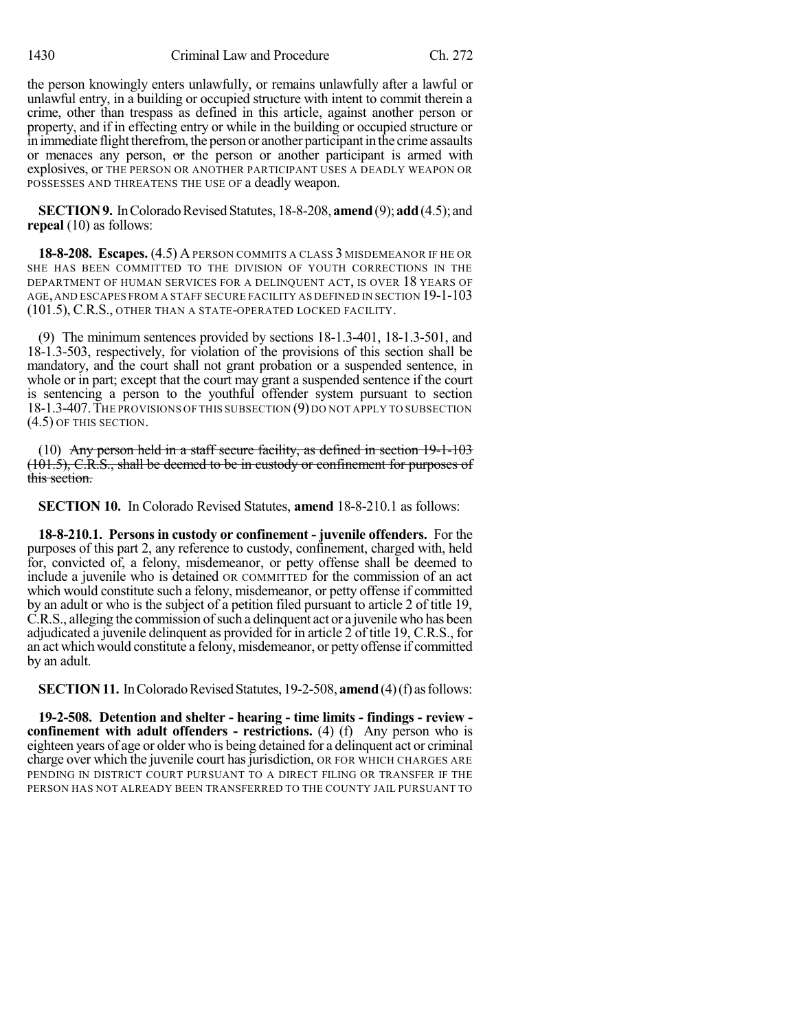the person knowingly enters unlawfully, or remains unlawfully after a lawful or unlawful entry, in a building or occupied structure with intent to commit therein a crime, other than trespass as defined in this article, against another person or property, and if in effecting entry or while in the building or occupied structure or in immediate flight therefrom, the person or another participant in the crime assaults or menaces any person, or the person or another participant is armed with explosives, or THE PERSON OR ANOTHER PARTICIPANT USES A DEADLY WEAPON OR POSSESSES AND THREATENS THE USE OF a deadly weapon.

**SECTION 9.** In Colorado Revised Statutes, 18-8-208, **amend** (9); **add** (4.5); and **repeal** (10) as follows:

**18-8-208. Escapes.** (4.5) APERSON COMMITS A CLASS 3 MISDEMEANOR IF HE OR SHE HAS BEEN COMMITTED TO THE DIVISION OF YOUTH CORRECTIONS IN THE DEPARTMENT OF HUMAN SERVICES FOR A DELINQUENT ACT, IS OVER 18 YEARS OF AGE,AND ESCAPES FROM A STAFF SECURE FACILITY AS DEFINED IN SECTION 19-1-103 (101.5), C.R.S., OTHER THAN A STATE-OPERATED LOCKED FACILITY.

(9) The minimum sentences provided by sections 18-1.3-401, 18-1.3-501, and 18-1.3-503, respectively, for violation of the provisions of this section shall be mandatory, and the court shall not grant probation or a suspended sentence, in whole or in part; except that the court may grant a suspended sentence if the court is sentencing a person to the youthful offender system pursuant to section 18-1.3-407. THE PROVISIONS OF THIS SUBSECTION (9) DO NOT APPLY TO SUBSECTION (4.5) OF THIS SECTION.

(10) Any person held in a staff secure facility, as defined in section 19-1-103  $(101.5)$ , C.R.S., shall be deemed to be in custody or confinement for purposes of this section.

**SECTION 10.** In Colorado Revised Statutes, **amend** 18-8-210.1 as follows:

**18-8-210.1. Persons in custody or confinement - juvenile offenders.** For the purposes of this part 2, any reference to custody, confinement, charged with, held for, convicted of, a felony, misdemeanor, or petty offense shall be deemed to include a juvenile who is detained OR COMMITTED for the commission of an act which would constitute such a felony, misdemeanor, or petty offense if committed by an adult or who is the subject of a petition filed pursuant to article 2 of title 19, C.R.S., alleging the commission of such a delinquent act or a juvenile who has been adjudicated a juvenile delinquent as provided for in article 2 of title 19, C.R.S., for an act which would constitute a felony, misdemeanor, or petty offense if committed by an adult.

**SECTION 11.** In Colorado Revised Statutes, 19-2-508, **amend** (4) (f) as follows:

**19-2-508. Detention and shelter - hearing - time limits - findings - review confinement with adult offenders - restrictions.** (4) (f) Any person who is eighteen years of age or older who is being detained for a delinquent act or criminal charge over which the juvenile court hasjurisdiction, OR FOR WHICH CHARGES ARE PENDING IN DISTRICT COURT PURSUANT TO A DIRECT FILING OR TRANSFER IF THE PERSON HAS NOT ALREADY BEEN TRANSFERRED TO THE COUNTY JAIL PURSUANT TO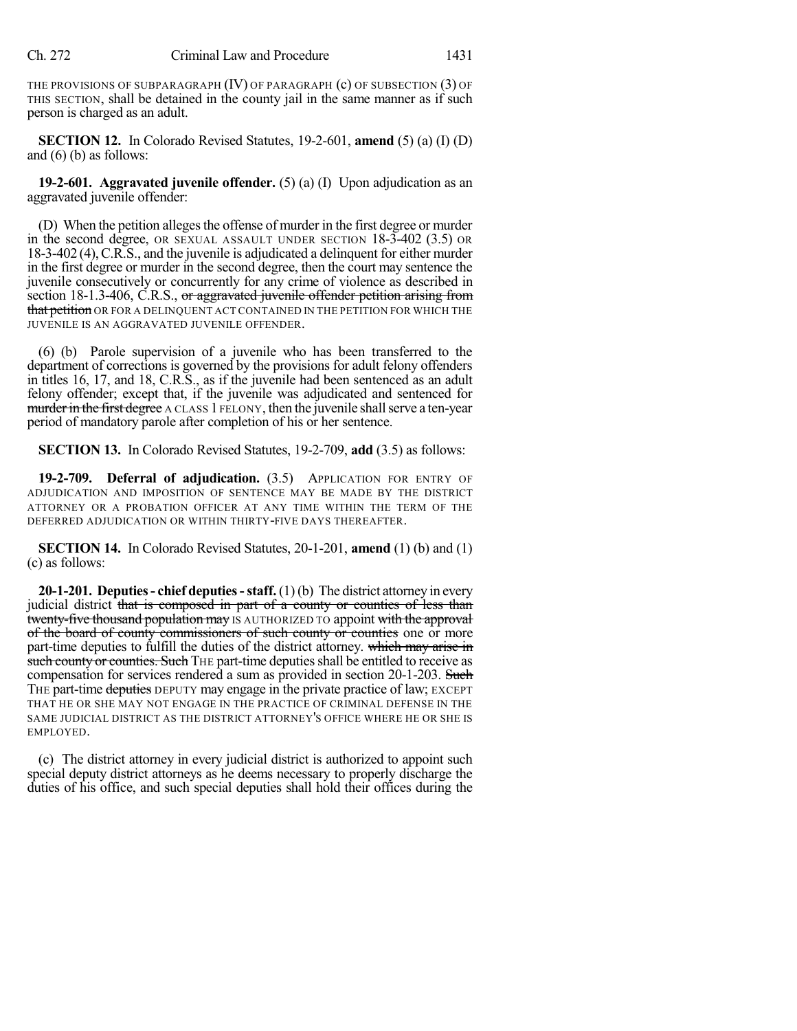THE PROVISIONS OF SUBPARAGRAPH  $(IV)$  OF PARAGRAPH  $(c)$  OF SUBSECTION  $(3)$  OF THIS SECTION, shall be detained in the county jail in the same manner as if such person is charged as an adult.

**SECTION 12.** In Colorado Revised Statutes, 19-2-601, **amend** (5) (a) (I) (D) and (6) (b) as follows:

**19-2-601. Aggravated juvenile offender.** (5) (a) (I) Upon adjudication as an aggravated juvenile offender:

(D) When the petition alleges the offense of murder in the first degree or murder in the second degree, OR SEXUAL ASSAULT UNDER SECTION 18-3-402 (3.5) OR 18-3-402 (4),C.R.S., and the juvenile is adjudicated a delinquent for either murder in the first degree or murder in the second degree, then the court may sentence the juvenile consecutively or concurrently for any crime of violence as described in section 18-1.3-406, C.R.S., or aggravated juvenile offender petition arising from that petition OR FOR A DELINQUENT ACT CONTAINED IN THE PETITION FOR WHICH THE JUVENILE IS AN AGGRAVATED JUVENILE OFFENDER.

(6) (b) Parole supervision of a juvenile who has been transferred to the department of corrections is governed by the provisions for adult felony offenders in titles 16, 17, and 18, C.R.S., as if the juvenile had been sentenced as an adult felony offender; except that, if the juvenile was adjudicated and sentenced for murder in the first degree A CLASS 1 FELONY, then the juvenile shall serve a ten-year period of mandatory parole after completion of his or her sentence.

**SECTION 13.** In Colorado Revised Statutes, 19-2-709, **add** (3.5) as follows:

**19-2-709. Deferral of adjudication.** (3.5) APPLICATION FOR ENTRY OF ADJUDICATION AND IMPOSITION OF SENTENCE MAY BE MADE BY THE DISTRICT ATTORNEY OR A PROBATION OFFICER AT ANY TIME WITHIN THE TERM OF THE DEFERRED ADJUDICATION OR WITHIN THIRTY-FIVE DAYS THEREAFTER.

**SECTION 14.** In Colorado Revised Statutes, 20-1-201, **amend** (1) (b) and (1) (c) as follows:

**20-1-201. Deputies- chief deputies-staff.** (1)(b) The district attorney in every judicial district that is composed in part of a county or counties of less than twenty-five thousand population may IS AUTHORIZED TO appoint with the approval of the board of county commissioners of such county or counties one or more part-time deputies to fulfill the duties of the district attorney. which may arise in such county or counties. Such THE part-time deputies shall be entitled to receive as compensation for services rendered a sum as provided in section 20-1-203. Such THE part-time deputies DEPUTY may engage in the private practice of law; EXCEPT THAT HE OR SHE MAY NOT ENGAGE IN THE PRACTICE OF CRIMINAL DEFENSE IN THE SAME JUDICIAL DISTRICT AS THE DISTRICT ATTORNEY'S OFFICE WHERE HE OR SHE IS EMPLOYED.

(c) The district attorney in every judicial district is authorized to appoint such special deputy district attorneys as he deems necessary to properly discharge the duties of his office, and such special deputies shall hold their offices during the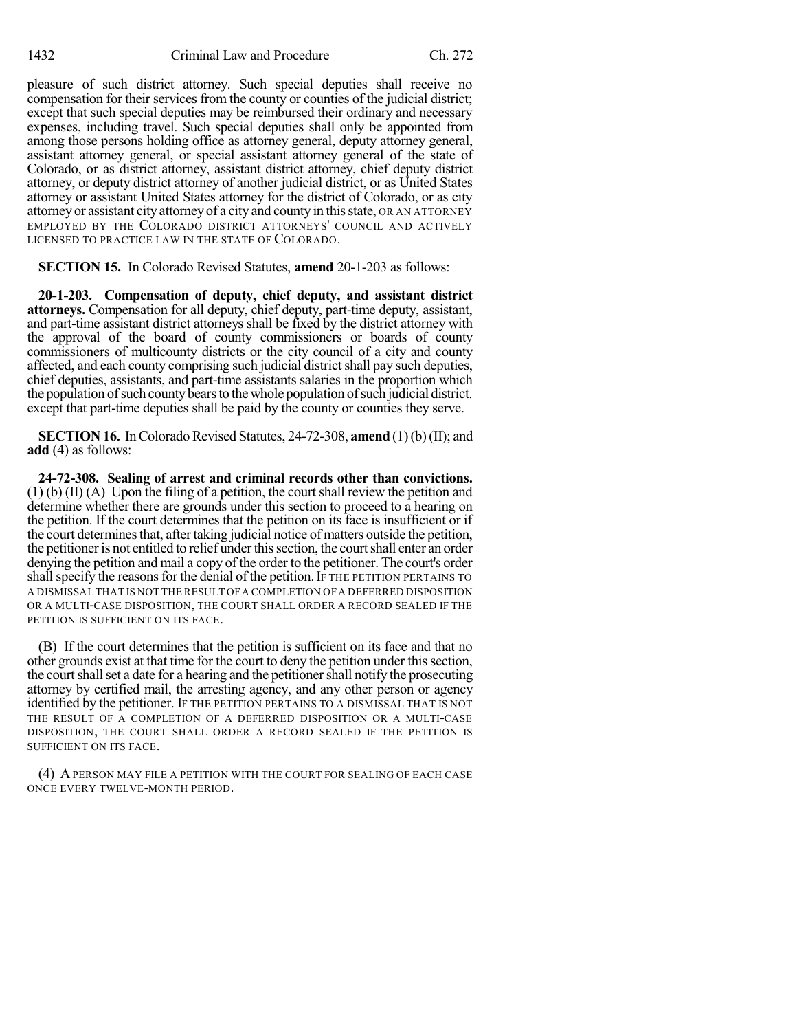pleasure of such district attorney. Such special deputies shall receive no compensation for their services from the county or counties of the judicial district; except that such special deputies may be reimbursed their ordinary and necessary expenses, including travel. Such special deputies shall only be appointed from among those persons holding office as attorney general, deputy attorney general, assistant attorney general, or special assistant attorney general of the state of Colorado, or as district attorney, assistant district attorney, chief deputy district attorney, or deputy district attorney of another judicial district, or as United States attorney or assistant United States attorney for the district of Colorado, or as city attorney or assistant city attorney of a city and county in thisstate, OR AN ATTORNEY EMPLOYED BY THE COLORADO DISTRICT ATTORNEYS' COUNCIL AND ACTIVELY LICENSED TO PRACTICE LAW IN THE STATE OF COLORADO.

**SECTION 15.** In Colorado Revised Statutes, **amend** 20-1-203 as follows:

**20-1-203. Compensation of deputy, chief deputy, and assistant district attorneys.** Compensation for all deputy, chief deputy, part-time deputy, assistant, and part-time assistant district attorneys shall be fixed by the district attorney with the approval of the board of county commissioners or boards of county commissioners of multicounty districts or the city council of a city and county affected, and each county comprising such judicial district shall pay such deputies, chief deputies, assistants, and part-time assistants salaries in the proportion which the population of such county bears to the whole population of such judicial district. except that part-time deputies shall be paid by the county or counties they serve.

**SECTION 16.** In Colorado Revised Statutes, 24-72-308, **amend** (1)(b)(II); and **add** (4) as follows:

**24-72-308. Sealing of arrest and criminal records other than convictions.**  $(1)$  (b)  $(II)$  (A) Upon the filing of a petition, the court shall review the petition and determine whether there are grounds under this section to proceed to a hearing on the petition. If the court determines that the petition on its face is insufficient or if the court determines that, after taking judicial notice of matters outside the petition, the petitioner is not entitled to relief under this section, the court shall enter an order denying the petition and mail a copy of the order to the petitioner. The court's order shall specify the reasons for the denial of the petition. If THE PETITION PERTAINS TO A DISMISSAL THAT IS NOT THE RESULT OF A COMPLETION OF A DEFERRED DISPOSITION OR A MULTI-CASE DISPOSITION, THE COURT SHALL ORDER A RECORD SEALED IF THE PETITION IS SUFFICIENT ON ITS FACE.

(B) If the court determines that the petition is sufficient on its face and that no other grounds exist at that time for the court to deny the petition under this section, the court shall set a date for a hearing and the petitioner shall notify the prosecuting attorney by certified mail, the arresting agency, and any other person or agency identified by the petitioner. IF THE PETITION PERTAINS TO A DISMISSAL THAT IS NOT THE RESULT OF A COMPLETION OF A DEFERRED DISPOSITION OR A MULTI-CASE DISPOSITION, THE COURT SHALL ORDER A RECORD SEALED IF THE PETITION IS SUFFICIENT ON ITS FACE.

(4) APERSON MAY FILE A PETITION WITH THE COURT FOR SEALING OF EACH CASE ONCE EVERY TWELVE-MONTH PERIOD.